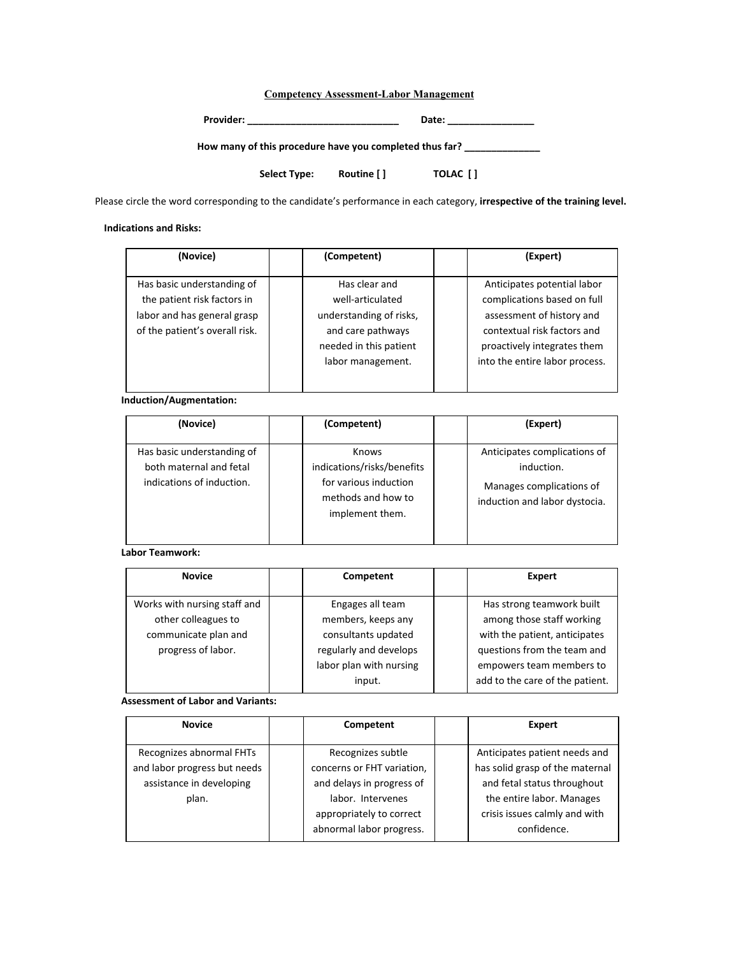# **Competency Assessment-Labor Management**

| <b>Provider:</b> | ate، د |
|------------------|--------|
|------------------|--------|

**How many of this procedure have you completed thus far? \_\_\_\_\_\_\_\_\_\_\_\_\_\_**

**Select Type: Routine [ ] TOLAC [ ]**

Please circle the word corresponding to the candidate's performance in each category, **irrespective of the training level.**

#### **Indications and Risks:**

| (Novice)                       | (Competent)             | (Expert)                       |
|--------------------------------|-------------------------|--------------------------------|
|                                |                         |                                |
| Has basic understanding of     | Has clear and           | Anticipates potential labor    |
| the patient risk factors in    | well-articulated        | complications based on full    |
| labor and has general grasp    | understanding of risks, | assessment of history and      |
| of the patient's overall risk. | and care pathways       | contextual risk factors and    |
|                                | needed in this patient  | proactively integrates them    |
|                                | labor management.       | into the entire labor process. |
|                                |                         |                                |
|                                |                         |                                |

# **Induction/Augmentation:**

| (Novice)                                                                           | (Competent)                                                                                           | (Expert)                                                                                                |
|------------------------------------------------------------------------------------|-------------------------------------------------------------------------------------------------------|---------------------------------------------------------------------------------------------------------|
| Has basic understanding of<br>both maternal and fetal<br>indications of induction. | Knows<br>indications/risks/benefits<br>for various induction<br>methods and how to<br>implement them. | Anticipates complications of<br>induction.<br>Manages complications of<br>induction and labor dystocia. |

#### **Labor Teamwork:**

| <b>Novice</b>                | Competent               | Expert                          |
|------------------------------|-------------------------|---------------------------------|
|                              |                         |                                 |
| Works with nursing staff and | Engages all team        | Has strong teamwork built       |
| other colleagues to          | members, keeps any      | among those staff working       |
| communicate plan and         | consultants updated     | with the patient, anticipates   |
| progress of labor.           | regularly and develops  | questions from the team and     |
|                              | labor plan with nursing | empowers team members to        |
|                              | input.                  | add to the care of the patient. |

#### **Assessment of Labor and Variants:**

| <b>Novice</b>                                                                                 | Competent                                                                                         | <b>Expert</b>                                                                                                                |
|-----------------------------------------------------------------------------------------------|---------------------------------------------------------------------------------------------------|------------------------------------------------------------------------------------------------------------------------------|
| Recognizes abnormal FHTs<br>and labor progress but needs<br>assistance in developing<br>plan. | Recognizes subtle<br>concerns or FHT variation,<br>and delays in progress of<br>labor. Intervenes | Anticipates patient needs and<br>has solid grasp of the maternal<br>and fetal status throughout<br>the entire labor. Manages |
|                                                                                               | appropriately to correct<br>abnormal labor progress.                                              | crisis issues calmly and with<br>confidence.                                                                                 |